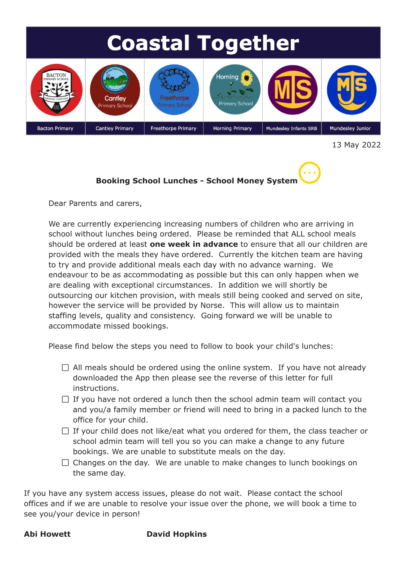

13 May 2022



Dear Parents and carers,

We are currently experiencing increasing numbers of children who are arriving in school without lunches being ordered. Please be reminded that ALL school meals should be ordered at least **one week in advance** to ensure that all our children are provided with the meals they have ordered. Currently the kitchen team are having to try and provide additional meals each day with no advance warning. We endeavour to be as accommodating as possible but this can only happen when we are dealing with exceptional circumstances. In addition we will shortly be outsourcing our kitchen provision, with meals still being cooked and served on site, however the service will be provided by Norse. This will allow us to maintain staffing levels, quality and consistency. Going forward we will be unable to accommodate missed bookings.

Please find below the steps you need to follow to book your child's lunches:

- $\Box$  All meals should be ordered using the online system. If you have not already downloaded the App then please see the reverse of this letter for full instructions.
- $\Box$  If you have not ordered a lunch then the school admin team will contact you and you/a family member or friend will need to bring in a packed lunch to the office for your child.
- $\Box$  If your child does not like/eat what you ordered for them, the class teacher or school admin team will tell you so you can make a change to any future bookings. We are unable to substitute meals on the day.
- $\Box$  Changes on the day. We are unable to make changes to lunch bookings on the same day.

If you have any system access issues, please do not wait. Please contact the school offices and if we are unable to resolve your issue over the phone, we will book a time to see you/your device in person!

## **Abi Howett David Hopkins**